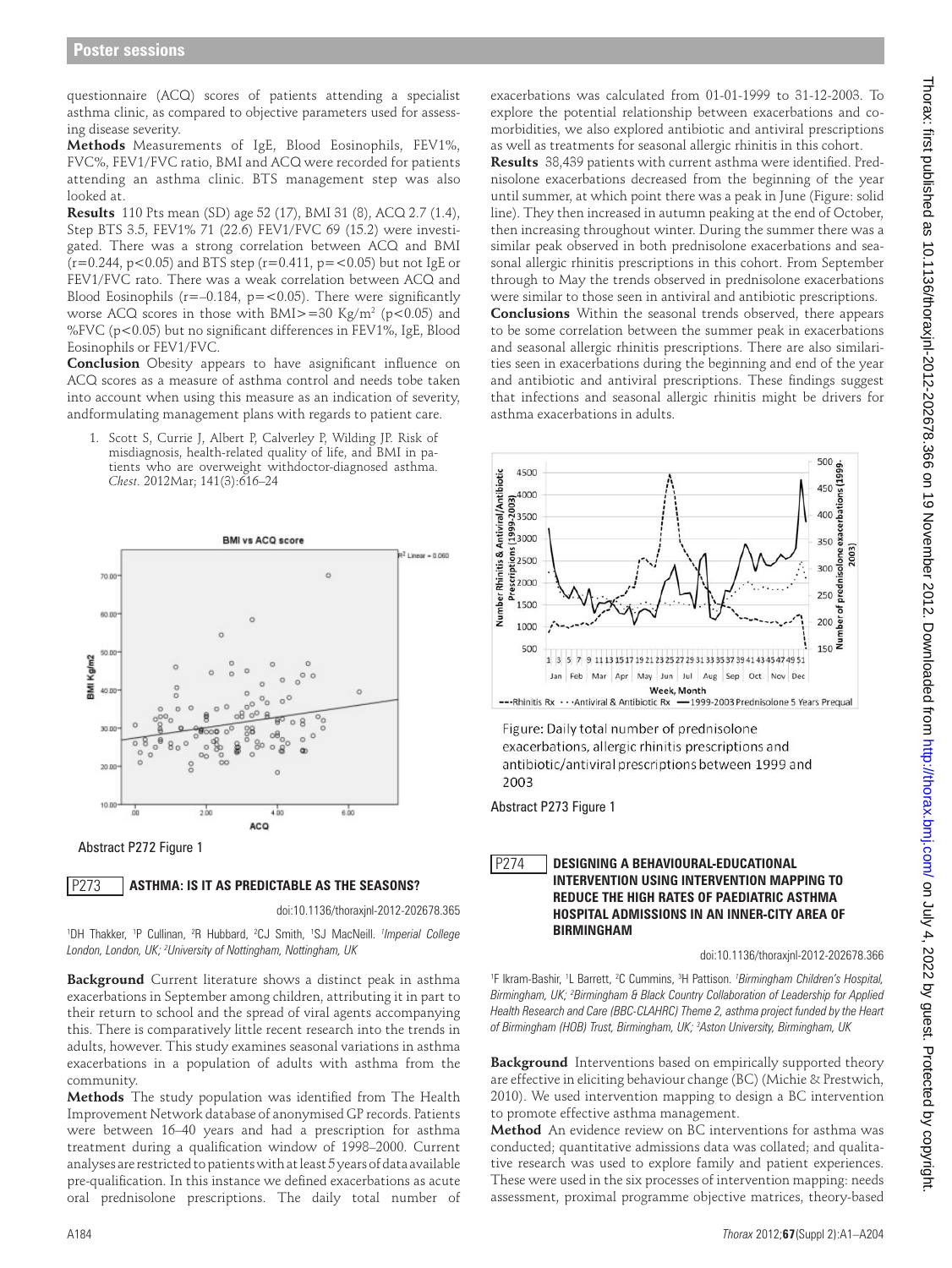questionnaire (ACQ) scores of patients attending a specialist asthma clinic, as compared to objective parameters used for assessing disease severity.

**Methods** Measurements of IgE, Blood Eosinophils, FEV1%, FVC%, FEV1/FVC ratio, BMI and ACQ were recorded for patients attending an asthma clinic. BTS management step was also looked at.

**Results** 110 Pts mean (SD) age 52 (17), BMI 31 (8), ACQ 2.7 (1.4), Step BTS 3.5, FEV1% 71 (22.6) FEV1/FVC 69 (15.2) were investigated. There was a strong correlation between ACQ and BMI  $(r=0.244, p<0.05)$  and BTS step  $(r=0.411, p=<0.05)$  but not IgE or FEV1/FVC rato. There was a weak correlation between ACQ and Blood Eosinophils ( $r=-0.184$ ,  $p=<0.05$ ). There were significantly worse ACQ scores in those with BMI $>=$ 30 Kg/m<sup>2</sup> (p<0.05) and %FVC (p<0.05) but no significant differences in FEV1%, IgE, Blood Eosinophils or FEV1/FVC.

**Conclusion** Obesity appears to have asignificant influence on ACQ scores as a measure of asthma control and needs tobe taken into account when using this measure as an indication of severity, andformulating management plans with regards to patient care.

1. Scott S, Currie J, Albert P, Calverley P, Wilding JP. Risk of misdiagnosis, health-related quality of life, and BMI in patients who are overweight withdoctor-diagnosed asthma. *Chest.* 2012Mar; 141(3):616–24



Abstract P272 Figure 1

## **ASTHMA: IS IT AS PREDICTABLE AS THE SEASONS?** P273

doi:10.1136/thoraxjnl-2012-202678.365

1 DH Thakker, 1 P Cullinan, 2 R Hubbard, 2 CJ Smith, 1 SJ MacNeill. *<sup>1</sup> Imperial College London, London, UK; 2 University of Nottingham, Nottingham, UK*

**Background** Current literature shows a distinct peak in asthma exacerbations in September among children, attributing it in part to their return to school and the spread of viral agents accompanying this. There is comparatively little recent research into the trends in adults, however. This study examines seasonal variations in asthma exacerbations in a population of adults with asthma from the community.

**Methods** The study population was identified from The Health Improvement Network database of anonymised GP records. Patients were between 16–40 years and had a prescription for asthma treatment during a qualification window of 1998–2000. Current analyses are restricted to patients with at least 5 yearsofdata available pre-qualification. In this instance we defined exacerbations as acute oral prednisolone prescriptions. The daily total number of exacerbations was calculated from 01-01-1999 to 31-12-2003. To explore the potential relationship between exacerbations and comorbidities, we also explored antibiotic and antiviral prescriptions as well as treatments for seasonal allergic rhinitis in this cohort.

**Results** 38,439 patients with current asthma were identified. Prednisolone exacerbations decreased from the beginning of the year until summer, at which point there was a peak in June (Figure: solid line). They then increased in autumn peaking at the end of October, then increasing throughout winter. During the summer there was a similar peak observed in both prednisolone exacerbations and seasonal allergic rhinitis prescriptions in this cohort. From September through to May the trends observed in prednisolone exacerbations were similar to those seen in antiviral and antibiotic prescriptions.

**Conclusions** Within the seasonal trends observed, there appears to be some correlation between the summer peak in exacerbations and seasonal allergic rhinitis prescriptions. There are also similarities seen in exacerbations during the beginning and end of the year and antibiotic and antiviral prescriptions. These findings suggest that infections and seasonal allergic rhinitis might be drivers for asthma exacerbations in adults.



Figure: Daily total number of prednisolone exacerbations, allergic rhinitis prescriptions and antibiotic/antiviral prescriptions between 1999 and 2003

Abstract P273 Figure 1

## **DESIGNING A BEHAVIOURAL-EDUCATIONAL INTERVENTION USING INTERVENTION MAPPING TO REDUCE THE HIGH RATES OF PAEDIATRIC ASTHMA HOSPITAL ADMISSIONS IN AN INNER-CITY AREA OF BIRMINGHAM** P274

doi:10.1136/thoraxjnl-2012-202678.366

<sup>1</sup>F Ikram-Bashir, <sup>1</sup>L Barrett, <sup>2</sup>C Cummins, <sup>3</sup>H Pattison. *<sup>1</sup>Birmingham Children's Hospital,* Birmingham, UK; <sup>2</sup>Birmingham & Black Country Collaboration of Leadership for Applied *Health Research and Care (BBC-CLAHRC) Theme 2, asthma project funded by the Heart of Birmingham (HOB) Trust, Birmingham, UK; 3 Aston University, Birmingham, UK*

**Background** Interventions based on empirically supported theory are effective in eliciting behaviour change (BC) (Michie & Prestwich, 2010). We used intervention mapping to design a BC intervention to promote effective asthma management.

**Method** An evidence review on BC interventions for asthma was conducted; quantitative admissions data was collated; and qualitative research was used to explore family and patient experiences. These were used in the six processes of intervention mapping: needs assessment, proximal programme objective matrices, theory-based